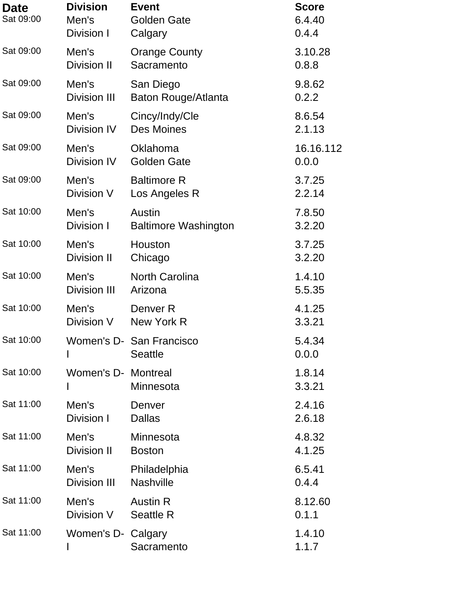| <b>Date</b><br>Sat 09:00 | <b>Division</b><br>Men's<br>Division I | <b>Event</b><br><b>Golden Gate</b><br>Calgary | <b>Score</b><br>6.4.40<br>0.4.4 |
|--------------------------|----------------------------------------|-----------------------------------------------|---------------------------------|
| Sat 09:00                | Men's                                  | <b>Orange County</b>                          | 3.10.28                         |
|                          | <b>Division II</b>                     | Sacramento                                    | 0.8.8                           |
| Sat 09:00                | Men's                                  | San Diego                                     | 9.8.62                          |
|                          | <b>Division III</b>                    | Baton Rouge/Atlanta                           | 0.2.2                           |
| Sat 09:00                | Men's                                  | Cincy/Indy/Cle                                | 8.6.54                          |
|                          | Division IV                            | <b>Des Moines</b>                             | 2.1.13                          |
| Sat 09:00                | Men's                                  | Oklahoma                                      | 16.16.112                       |
|                          | Division IV                            | <b>Golden Gate</b>                            | 0.0.0                           |
| Sat 09:00                | Men's                                  | <b>Baltimore R</b>                            | 3.7.25                          |
|                          | Division V                             | Los Angeles R                                 | 2.2.14                          |
| Sat 10:00                | Men's                                  | Austin                                        | 7.8.50                          |
|                          | Division I                             | <b>Baltimore Washington</b>                   | 3.2.20                          |
| Sat 10:00                | Men's                                  | Houston                                       | 3.7.25                          |
|                          | <b>Division II</b>                     | Chicago                                       | 3.2.20                          |
| Sat 10:00                | Men's                                  | <b>North Carolina</b>                         | 1.4.10                          |
|                          | <b>Division III</b>                    | Arizona                                       | 5.5.35                          |
| Sat 10:00                | Men's                                  | Denver <sub>R</sub>                           | 4.1.25                          |
|                          | Division V                             | New York R                                    | 3.3.21                          |
| Sat 10:00                | Women's D-                             | San Francisco<br><b>Seattle</b>               | 5.4.34<br>0.0.0                 |
| Sat 10:00                | Women's D- Montreal                    | Minnesota                                     | 1.8.14<br>3.3.21                |
| Sat 11:00                | Men's                                  | Denver                                        | 2.4.16                          |
|                          | Division I                             | <b>Dallas</b>                                 | 2.6.18                          |
| Sat 11:00                | Men's                                  | Minnesota                                     | 4.8.32                          |
|                          | Division II                            | <b>Boston</b>                                 | 4.1.25                          |
| Sat 11:00                | Men's                                  | Philadelphia                                  | 6.5.41                          |
|                          | <b>Division III</b>                    | <b>Nashville</b>                              | 0.4.4                           |
| Sat 11:00                | Men's                                  | <b>Austin R</b>                               | 8.12.60                         |
|                          | Division V                             | <b>Seattle R</b>                              | 0.1.1                           |
| Sat 11:00                | Women's D- Calgary                     | Sacramento                                    | 1.4.10<br>1.1.7                 |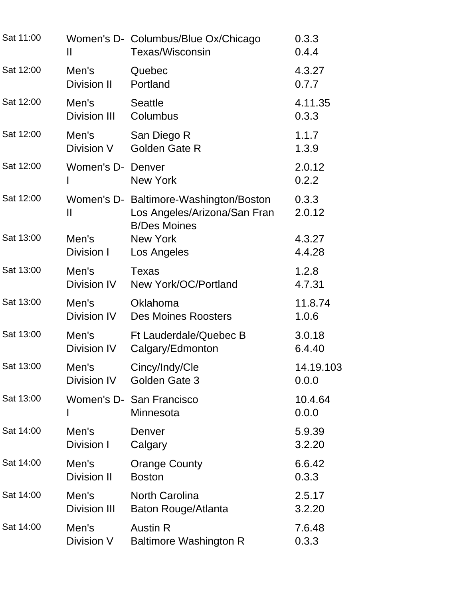| Sat 11:00 | Ш                   | Women's D- Columbus/Blue Ox/Chicago<br><b>Texas/Wisconsin</b>                                 | 0.3.3<br>0.4.4   |
|-----------|---------------------|-----------------------------------------------------------------------------------------------|------------------|
| Sat 12:00 | Men's               | Quebec                                                                                        | 4.3.27           |
|           | <b>Division II</b>  | Portland                                                                                      | 0.7.7            |
| Sat 12:00 | Men's               | <b>Seattle</b>                                                                                | 4.11.35          |
|           | <b>Division III</b> | Columbus                                                                                      | 0.3.3            |
| Sat 12:00 | Men's               | San Diego R                                                                                   | 1.1.7            |
|           | Division V          | Golden Gate R                                                                                 | 1.3.9            |
| Sat 12:00 | Women's D- Denver   | <b>New York</b>                                                                               | 2.0.12<br>0.2.2  |
| Sat 12:00 | Ш                   | Women's D- Baltimore-Washington/Boston<br>Los Angeles/Arizona/San Fran<br><b>B/Des Moines</b> | 0.3.3<br>2.0.12  |
| Sat 13:00 | Men's               | <b>New York</b>                                                                               | 4.3.27           |
|           | Division I          | Los Angeles                                                                                   | 4.4.28           |
| Sat 13:00 | Men's               | <b>Texas</b>                                                                                  | 1.2.8            |
|           | Division IV         | New York/OC/Portland                                                                          | 4.7.31           |
| Sat 13:00 | Men's               | Oklahoma                                                                                      | 11.8.74          |
|           | Division IV         | <b>Des Moines Roosters</b>                                                                    | 1.0.6            |
| Sat 13:00 | Men's               | Ft Lauderdale/Quebec B                                                                        | 3.0.18           |
|           | Division IV         | Calgary/Edmonton                                                                              | 6.4.40           |
| Sat 13:00 | Men's               | Cincy/Indy/Cle                                                                                | 14.19.103        |
|           | Division IV         | Golden Gate 3                                                                                 | 0.0.0            |
| Sat 13:00 |                     | Women's D- San Francisco<br>Minnesota                                                         | 10.4.64<br>0.0.0 |
| Sat 14:00 | Men's               | Denver                                                                                        | 5.9.39           |
|           | Division I          | Calgary                                                                                       | 3.2.20           |
| Sat 14:00 | Men's               | <b>Orange County</b>                                                                          | 6.6.42           |
|           | <b>Division II</b>  | <b>Boston</b>                                                                                 | 0.3.3            |
| Sat 14:00 | Men's               | <b>North Carolina</b>                                                                         | 2.5.17           |
|           | <b>Division III</b> | Baton Rouge/Atlanta                                                                           | 3.2.20           |
| Sat 14:00 | Men's               | <b>Austin R</b>                                                                               | 7.6.48           |
|           | Division V          | <b>Baltimore Washington R</b>                                                                 | 0.3.3            |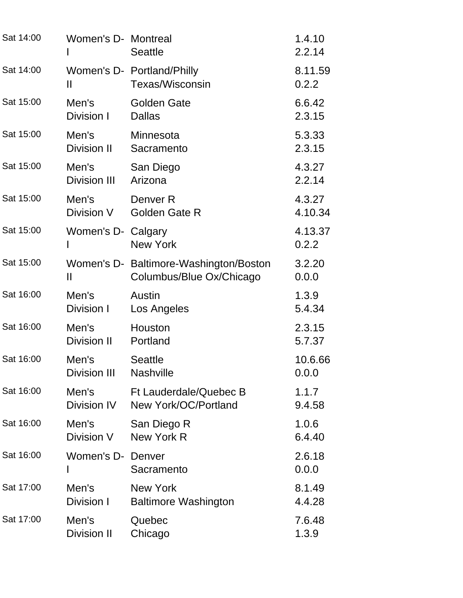| Sat 14:00 | Women's D- Montreal | <b>Seattle</b>                                                     | 1.4.10<br>2.2.14 |
|-----------|---------------------|--------------------------------------------------------------------|------------------|
| Sat 14:00 | Ш                   | Women's D- Portland/Philly<br><b>Texas/Wisconsin</b>               | 8.11.59<br>0.2.2 |
| Sat 15:00 | Men's               | <b>Golden Gate</b>                                                 | 6.6.42           |
|           | Division I          | <b>Dallas</b>                                                      | 2.3.15           |
| Sat 15:00 | Men's               | Minnesota                                                          | 5.3.33           |
|           | Division II         | Sacramento                                                         | 2.3.15           |
| Sat 15:00 | Men's               | San Diego                                                          | 4.3.27           |
|           | <b>Division III</b> | Arizona                                                            | 2.2.14           |
| Sat 15:00 | Men's               | Denver <sub>R</sub>                                                | 4.3.27           |
|           | Division V          | <b>Golden Gate R</b>                                               | 4.10.34          |
| Sat 15:00 | Women's D- Calgary  | <b>New York</b>                                                    | 4.13.37<br>0.2.2 |
| Sat 15:00 | Ш                   | Women's D- Baltimore-Washington/Boston<br>Columbus/Blue Ox/Chicago | 3.2.20<br>0.0.0  |
| Sat 16:00 | Men's               | Austin                                                             | 1.3.9            |
|           | Division I          | Los Angeles                                                        | 5.4.34           |
| Sat 16:00 | Men's               | Houston                                                            | 2.3.15           |
|           | Division II         | Portland                                                           | 5.7.37           |
| Sat 16:00 | Men's               | <b>Seattle</b>                                                     | 10.6.66          |
|           | <b>Division III</b> | <b>Nashville</b>                                                   | 0.0.0            |
| Sat 16:00 | Men's               | <b>Ft Lauderdale/Quebec B</b>                                      | 1.1.7            |
|           | Division IV         | New York/OC/Portland                                               | 9.4.58           |
| Sat 16:00 | Men's               | San Diego R                                                        | 1.0.6            |
|           | Division V          | New York R                                                         | 6.4.40           |
| Sat 16:00 | Women's D- Denver   | Sacramento                                                         | 2.6.18<br>0.0.0  |
| Sat 17:00 | Men's               | <b>New York</b>                                                    | 8.1.49           |
|           | Division I          | <b>Baltimore Washington</b>                                        | 4.4.28           |
| Sat 17:00 | Men's               | Quebec                                                             | 7.6.48           |
|           | Division II         | Chicago                                                            | 1.3.9            |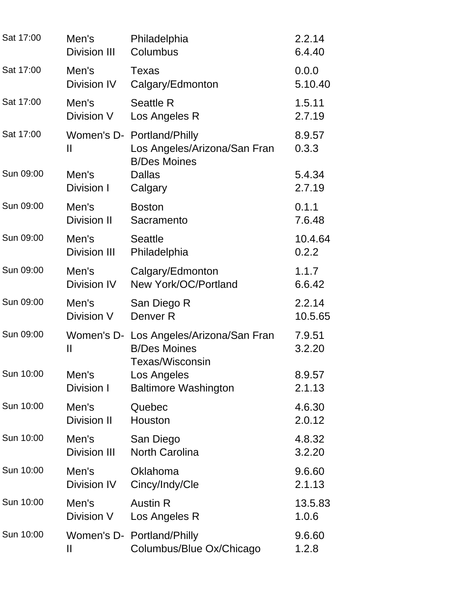| Sat 17:00 | Men's                  | Philadelphia                                                                             | 2.2.14           |
|-----------|------------------------|------------------------------------------------------------------------------------------|------------------|
|           | <b>Division III</b>    | Columbus                                                                                 | 6.4.40           |
| Sat 17:00 | Men's                  | Texas                                                                                    | 0.0.0            |
|           | <b>Division IV</b>     | Calgary/Edmonton                                                                         | 5.10.40          |
| Sat 17:00 | Men's                  | <b>Seattle R</b>                                                                         | 1.5.11           |
|           | Division V             | Los Angeles R                                                                            | 2.7.19           |
| Sat 17:00 | Ш                      | Women's D- Portland/Philly<br>Los Angeles/Arizona/San Fran                               | 8.9.57<br>0.3.3  |
| Sun 09:00 | Men's<br>Division I    | <b>B/Des Moines</b><br><b>Dallas</b><br>Calgary                                          | 5.4.34<br>2.7.19 |
| Sun 09:00 | Men's                  | <b>Boston</b>                                                                            | 0.1.1            |
|           | <b>Division II</b>     | Sacramento                                                                               | 7.6.48           |
| Sun 09:00 | Men's                  | <b>Seattle</b>                                                                           | 10.4.64          |
|           | <b>Division III</b>    | Philadelphia                                                                             | 0.2.2            |
| Sun 09:00 | Men's                  | Calgary/Edmonton                                                                         | 1.1.7            |
|           | Division IV            | New York/OC/Portland                                                                     | 6.6.42           |
| Sun 09:00 | Men's                  | San Diego R                                                                              | 2.2.14           |
|           | Division V             | Denver <sub>R</sub>                                                                      | 10.5.65          |
| Sun 09:00 | Ш                      | Women's D- Los Angeles/Arizona/San Fran<br><b>B/Des Moines</b><br><b>Texas/Wisconsin</b> | 7.9.51<br>3.2.20 |
| Sun 10:00 | Men's                  | Los Angeles                                                                              | 8.9.57           |
|           | Division I             | <b>Baltimore Washington</b>                                                              | 2.1.13           |
| Sun 10:00 | Men's                  | Quebec                                                                                   | 4.6.30           |
|           | <b>Division II</b>     | Houston                                                                                  | 2.0.12           |
| Sun 10:00 | Men's                  | San Diego                                                                                | 4.8.32           |
|           | <b>Division III</b>    | <b>North Carolina</b>                                                                    | 3.2.20           |
| Sun 10:00 | Men's                  | Oklahoma                                                                                 | 9.6.60           |
|           | Division IV            | Cincy/Indy/Cle                                                                           | 2.1.13           |
| Sun 10:00 | Men's                  | <b>Austin R</b>                                                                          | 13.5.83          |
|           | Division V             | Los Angeles R                                                                            | 1.0.6            |
| Sun 10:00 | $\mathbf{\mathsf{II}}$ | Women's D- Portland/Philly<br>Columbus/Blue Ox/Chicago                                   | 9.6.60<br>1.2.8  |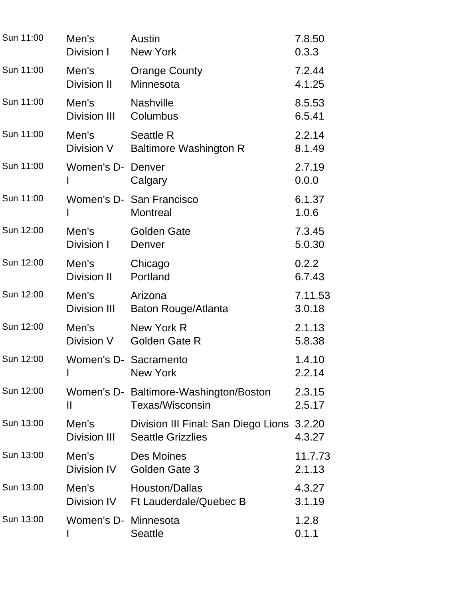| Sun 11:00 | Men's                                                                                                                                                                                                                                          | Austin                                                                 | 7.8.50           |
|-----------|------------------------------------------------------------------------------------------------------------------------------------------------------------------------------------------------------------------------------------------------|------------------------------------------------------------------------|------------------|
|           | Division I                                                                                                                                                                                                                                     | <b>New York</b>                                                        | 0.3.3            |
| Sun 11:00 | Men's                                                                                                                                                                                                                                          | <b>Orange County</b>                                                   | 7.2.44           |
|           | Division II                                                                                                                                                                                                                                    | Minnesota                                                              | 4.1.25           |
| Sun 11:00 | Men's                                                                                                                                                                                                                                          | <b>Nashville</b>                                                       | 8.5.53           |
|           | <b>Division III</b>                                                                                                                                                                                                                            | Columbus                                                               | 6.5.41           |
| Sun 11:00 | Men's                                                                                                                                                                                                                                          | <b>Seattle R</b>                                                       | 2.2.14           |
|           | Division V                                                                                                                                                                                                                                     | <b>Baltimore Washington R</b>                                          | 8.1.49           |
| Sun 11:00 | Women's D-                                                                                                                                                                                                                                     | Denver<br>Calgary                                                      | 2.7.19<br>0.0.0  |
| Sun 11:00 |                                                                                                                                                                                                                                                | Women's D- San Francisco<br><b>Montreal</b>                            | 6.1.37<br>1.0.6  |
| Sun 12:00 | Men's                                                                                                                                                                                                                                          | <b>Golden Gate</b>                                                     | 7.3.45           |
|           | Division I                                                                                                                                                                                                                                     | Denver                                                                 | 5.0.30           |
| Sun 12:00 | Men's                                                                                                                                                                                                                                          | Chicago                                                                | 0.2.2            |
|           | Division II                                                                                                                                                                                                                                    | Portland                                                               | 6.7.43           |
| Sun 12:00 | Men's                                                                                                                                                                                                                                          | Arizona                                                                | 7.11.53          |
|           | <b>Division III</b>                                                                                                                                                                                                                            | Baton Rouge/Atlanta                                                    | 3.0.18           |
| Sun 12:00 | Men's                                                                                                                                                                                                                                          | New York R                                                             | 2.1.13           |
|           | Division V                                                                                                                                                                                                                                     | <b>Golden Gate R</b>                                                   | 5.8.38           |
| Sun 12:00 | Women's D- Sacramento                                                                                                                                                                                                                          | <b>New York</b>                                                        | 1.4.10<br>2.2.14 |
| Sun 12:00 | Ш                                                                                                                                                                                                                                              | Women's D- Baltimore-Washington/Boston<br>Texas/Wisconsin              | 2.3.15<br>2.5.17 |
| Sun 13:00 | Men's the month of the month of the month of the month of the month of the month of the month of the month of the month of the month of the month of the month of the month of the month of the month of the month of the mont<br>Division III | Division III Final: San Diego Lions 3.2.20<br><b>Seattle Grizzlies</b> | 4.3.27           |
| Sun 13:00 | Men's                                                                                                                                                                                                                                          | Des Moines                                                             | 11.7.73          |
|           | Division IV                                                                                                                                                                                                                                    | Golden Gate 3                                                          | 2.1.13           |
| Sun 13:00 | Men's                                                                                                                                                                                                                                          | Houston/Dallas<br>Division IV Ft Lauderdale/Quebec B                   | 4.3.27<br>3.1.19 |
| Sun 13:00 | Women's D- Minnesota                                                                                                                                                                                                                           | <b>Seattle</b>                                                         | 1.2.8<br>0.1.1   |